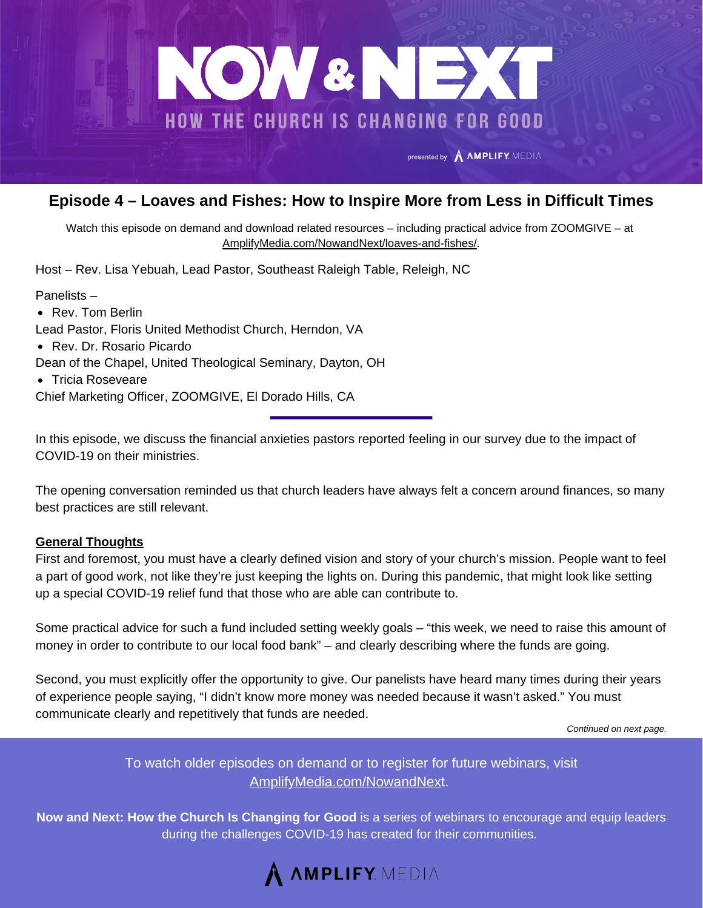

### **Episode 4 – Loaves and Fishes: How to Inspire More from Less in Difficult Times**

Watch this episode on demand and download related resources – including practical advice from ZOOMGIVE – at [AmplifyMedia.com/NowandNext/loaves-and-fishes/](https://amplifymedia.com/nowandnext/loaves-and-fishes/).

Host – Rev. Lisa Yebuah, Lead Pastor, Southeast Raleigh Table, Releigh, NC

Panelists –

• Rev. Tom Berlin

Lead Pastor, Floris United Methodist Church, Herndon, VA

• Rev. Dr. Rosario Picardo

Dean of the Chapel, United Theological Seminary, Dayton, OH

• Tricia Roseveare

Chief Marketing Officer, ZOOMGIVE, El Dorado Hills, CA

In this episode, we discuss the financial anxieties pastors reported feeling in our survey due to the impact of COVID-19 on their ministries.

The opening conversation reminded us that church leaders have always felt a concern around finances, so many best practices are still relevant.

#### **General Thoughts**

First and foremost, you must have a clearly defined vision and story of your church's mission. People want to feel a part of good work, not like they're just keeping the lights on. During this pandemic, that might look like setting up a special COVID-19 relief fund that those who are able can contribute to.

Some practical advice for such a fund included setting weekly goals – "this week, we need to raise this amount of money in order to contribute to our local food bank" – and clearly describing where the funds are going.

Second, you must explicitly offer the opportunity to give. Our panelists have heard many times during their years of experience people saying, "I didn't know more money was needed because it wasn't asked." You must communicate clearly and repetitively that funds are needed.

*Continued on next page.*

To watch older episodes on demand or to register for future webinars, visit [AmplifyMedia.com/NowandNex](https://amplifymedia.com/nowandnext/)t.

**Now and Next: How the Church Is Changing for Good** is a series of webinars to encourage and equip leaders during the challenges COVID-19 has created for their communities.

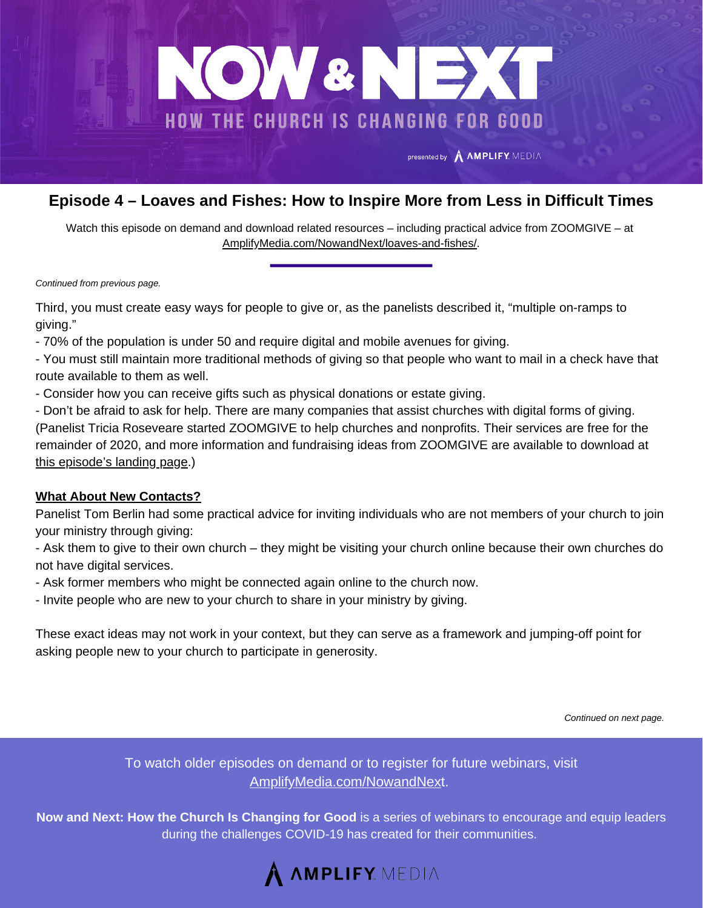

# **Episode 4 – Loaves and Fishes: How to Inspire More from Less in Difficult Times**

Watch this episode on demand and download related resources – including practical advice from ZOOMGIVE – at [AmplifyMedia.com/NowandNext/loaves-and-fishes/](https://amplifymedia.com/nowandnext/loaves-and-fishes/).

*Continued from previous page.*

Third, you must create easy ways for people to give or, as the panelists described it, "multiple on-ramps to giving."

- 70% of the population is under 50 and require digital and mobile avenues for giving.

- You must still maintain more traditional methods of giving so that people who want to mail in a check have that route available to them as well.

- Consider how you can receive gifts such as physical donations or estate giving.

- Don't be afraid to ask for help. There are many companies that assist churches with digital forms of giving. (Panelist Tricia Roseveare started ZOOMGIVE to help churches and nonprofits. Their services are free for the remainder of 2020, and more information and fundraising ideas from ZOOMGIVE are available to download at this [episode's](https://amplifymedia.com/nowandnext/loaves-and-fishes/) landing page.)

#### **What About New Contacts?**

Panelist Tom Berlin had some practical advice for inviting individuals who are not members of your church to join your ministry through giving:

- Ask them to give to their own church – they might be visiting your church online because their own churches do not have digital services.

- Ask former members who might be connected again online to the church now.
- Invite people who are new to your church to share in your ministry by giving.

These exact ideas may not work in your context, but they can serve as a framework and jumping-off point for asking people new to your church to participate in generosity.

*Continued on next page.*

To watch older episodes on demand or to register for future webinars, visit [AmplifyMedia.com/NowandNex](https://amplifymedia.com/nowandnext/)t.

**Now and Next: How the Church Is Changing for Good** is a series of webinars to encourage and equip leaders during the challenges COVID-19 has created for their communities.